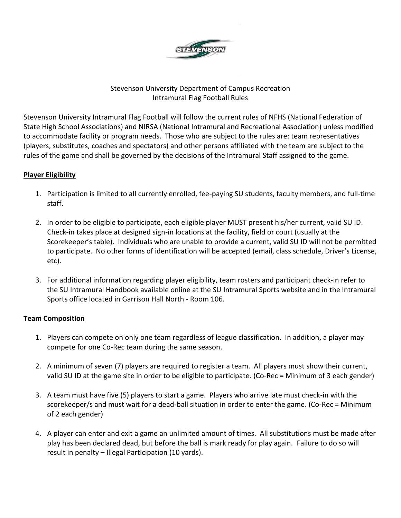

### Stevenson University Department of Campus Recreation Intramural Flag Football Rules

Stevenson University Intramural Flag Football will follow the current rules of NFHS (National Federation of State High School Associations) and NIRSA (National Intramural and Recreational Association) unless modified to accommodate facility or program needs. Those who are subject to the rules are: team representatives (players, substitutes, coaches and spectators) and other persons affiliated with the team are subject to the rules of the game and shall be governed by the decisions of the Intramural Staff assigned to the game.

### **Player Eligibility**

- 1. Participation is limited to all currently enrolled, fee-paying SU students, faculty members, and full-time staff.
- 2. In order to be eligible to participate, each eligible player MUST present his/her current, valid SU ID. Check-in takes place at designed sign-in locations at the facility, field or court (usually at the Scorekeeper's table). Individuals who are unable to provide a current, valid SU ID will not be permitted to participate. No other forms of identification will be accepted (email, class schedule, Driver's License, etc).
- 3. For additional information regarding player eligibility, team rosters and participant check-in refer to the SU Intramural Handbook available online at the SU Intramural Sports website and in the Intramural Sports office located in Garrison Hall North - Room 106.

#### **Team Composition**

- 1. Players can compete on only one team regardless of league classification. In addition, a player may compete for one Co-Rec team during the same season.
- 2. A minimum of seven (7) players are required to register a team. All players must show their current, valid SU ID at the game site in order to be eligible to participate. (Co-Rec = Minimum of 3 each gender)
- 3. A team must have five (5) players to start a game. Players who arrive late must check-in with the scorekeeper/s and must wait for a dead-ball situation in order to enter the game. (Co-Rec = Minimum of 2 each gender)
- 4. A player can enter and exit a game an unlimited amount of times. All substitutions must be made after play has been declared dead, but before the ball is mark ready for play again. Failure to do so will result in penalty – Illegal Participation (10 yards).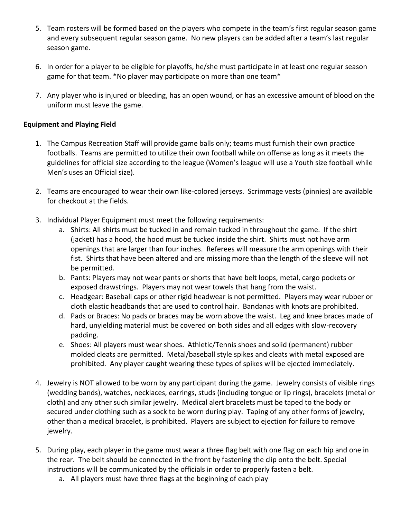- 5. Team rosters will be formed based on the players who compete in the team's first regular season game and every subsequent regular season game. No new players can be added after a team's last regular season game.
- 6. In order for a player to be eligible for playoffs, he/she must participate in at least one regular season game for that team. \*No player may participate on more than one team\*
- 7. Any player who is injured or bleeding, has an open wound, or has an excessive amount of blood on the uniform must leave the game.

#### **Equipment and Playing Field**

- 1. The Campus Recreation Staff will provide game balls only; teams must furnish their own practice footballs. Teams are permitted to utilize their own football while on offense as long as it meets the guidelines for official size according to the league (Women's league will use a Youth size football while Men's uses an Official size).
- 2. Teams are encouraged to wear their own like-colored jerseys. Scrimmage vests (pinnies) are available for checkout at the fields.
- 3. Individual Player Equipment must meet the following requirements:
	- a. Shirts: All shirts must be tucked in and remain tucked in throughout the game. If the shirt (jacket) has a hood, the hood must be tucked inside the shirt. Shirts must not have arm openings that are larger than four inches. Referees will measure the arm openings with their fist. Shirts that have been altered and are missing more than the length of the sleeve will not be permitted.
	- b. Pants: Players may not wear pants or shorts that have belt loops, metal, cargo pockets or exposed drawstrings. Players may not wear towels that hang from the waist.
	- c. Headgear: Baseball caps or other rigid headwear is not permitted. Players may wear rubber or cloth elastic headbands that are used to control hair. Bandanas with knots are prohibited.
	- d. Pads or Braces: No pads or braces may be worn above the waist. Leg and knee braces made of hard, unyielding material must be covered on both sides and all edges with slow-recovery padding.
	- e. Shoes: All players must wear shoes. Athletic/Tennis shoes and solid (permanent) rubber molded cleats are permitted. Metal/baseball style spikes and cleats with metal exposed are prohibited. Any player caught wearing these types of spikes will be ejected immediately.
- 4. Jewelry is NOT allowed to be worn by any participant during the game. Jewelry consists of visible rings (wedding bands), watches, necklaces, earrings, studs (including tongue or lip rings), bracelets (metal or cloth) and any other such similar jewelry. Medical alert bracelets must be taped to the body or secured under clothing such as a sock to be worn during play. Taping of any other forms of jewelry, other than a medical bracelet, is prohibited. Players are subject to ejection for failure to remove jewelry.
- 5. During play, each player in the game must wear a three flag belt with one flag on each hip and one in the rear. The belt should be connected in the front by fastening the clip onto the belt. Special instructions will be communicated by the officials in order to properly fasten a belt.
	- a. All players must have three flags at the beginning of each play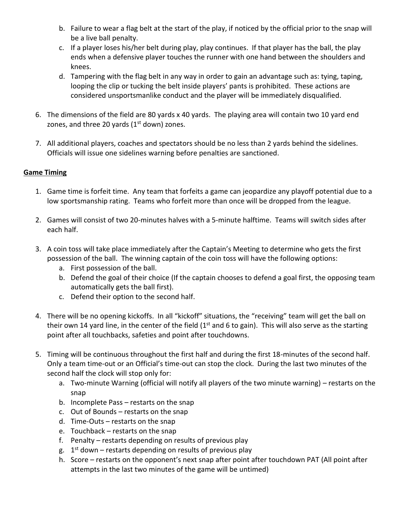- b. Failure to wear a flag belt at the start of the play, if noticed by the official prior to the snap will be a live ball penalty.
- c. If a player loses his/her belt during play, play continues. If that player has the ball, the play ends when a defensive player touches the runner with one hand between the shoulders and knees.
- d. Tampering with the flag belt in any way in order to gain an advantage such as: tying, taping, looping the clip or tucking the belt inside players' pants is prohibited. These actions are considered unsportsmanlike conduct and the player will be immediately disqualified.
- 6. The dimensions of the field are 80 yards x 40 yards. The playing area will contain two 10 yard end zones, and three 20 yards  $(1<sup>st</sup>$  down) zones.
- 7. All additional players, coaches and spectators should be no less than 2 yards behind the sidelines. Officials will issue one sidelines warning before penalties are sanctioned.

# **Game Timing**

- 1. Game time is forfeit time. Any team that forfeits a game can jeopardize any playoff potential due to a low sportsmanship rating. Teams who forfeit more than once will be dropped from the league.
- 2. Games will consist of two 20-minutes halves with a 5-minute halftime. Teams will switch sides after each half.
- 3. A coin toss will take place immediately after the Captain's Meeting to determine who gets the first possession of the ball. The winning captain of the coin toss will have the following options:
	- a. First possession of the ball.
	- b. Defend the goal of their choice (If the captain chooses to defend a goal first, the opposing team automatically gets the ball first).
	- c. Defend their option to the second half.
- 4. There will be no opening kickoffs. In all "kickoff" situations, the "receiving" team will get the ball on their own 14 yard line, in the center of the field ( $1<sup>st</sup>$  and 6 to gain). This will also serve as the starting point after all touchbacks, safeties and point after touchdowns.
- 5. Timing will be continuous throughout the first half and during the first 18-minutes of the second half. Only a team time-out or an Official's time-out can stop the clock. During the last two minutes of the second half the clock will stop only for:
	- a. Two-minute Warning (official will notify all players of the two minute warning) restarts on the snap
	- b. Incomplete Pass restarts on the snap
	- c. Out of Bounds restarts on the snap
	- d. Time-Outs restarts on the snap
	- e. Touchback restarts on the snap
	- f. Penalty restarts depending on results of previous play
	- g. 1<sup>st</sup> down restarts depending on results of previous play
	- h. Score restarts on the opponent's next snap after point after touchdown PAT (All point after attempts in the last two minutes of the game will be untimed)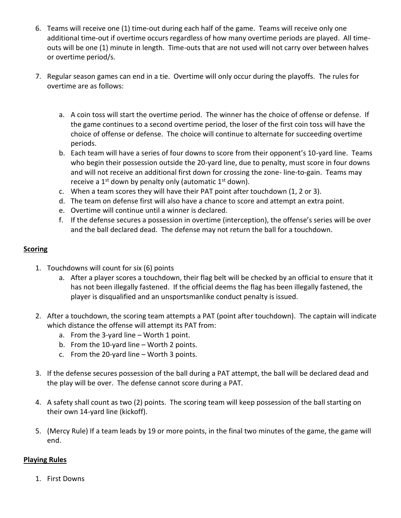- 6. Teams will receive one (1) time-out during each half of the game. Teams will receive only one additional time-out if overtime occurs regardless of how many overtime periods are played. All timeouts will be one (1) minute in length. Time-outs that are not used will not carry over between halves or overtime period/s.
- 7. Regular season games can end in a tie. Overtime will only occur during the playoffs. The rules for overtime are as follows:
	- a. A coin toss will start the overtime period. The winner has the choice of offense or defense. If the game continues to a second overtime period, the loser of the first coin toss will have the choice of offense or defense. The choice will continue to alternate for succeeding overtime periods.
	- b. Each team will have a series of four downs to score from their opponent's 10-yard line. Teams who begin their possession outside the 20-yard line, due to penalty, must score in four downs and will not receive an additional first down for crossing the zone- line-to-gain. Teams may receive a  $1^{st}$  down by penalty only (automatic  $1^{st}$  down).
	- c. When a team scores they will have their PAT point after touchdown (1, 2 or 3).
	- d. The team on defense first will also have a chance to score and attempt an extra point.
	- e. Overtime will continue until a winner is declared.
	- f. If the defense secures a possession in overtime (interception), the offense's series will be over and the ball declared dead. The defense may not return the ball for a touchdown.

#### **Scoring**

- 1. Touchdowns will count for six (6) points
	- a. After a player scores a touchdown, their flag belt will be checked by an official to ensure that it has not been illegally fastened. If the official deems the flag has been illegally fastened, the player is disqualified and an unsportsmanlike conduct penalty is issued.
- 2. After a touchdown, the scoring team attempts a PAT (point after touchdown). The captain will indicate which distance the offense will attempt its PAT from:
	- a. From the 3-yard line Worth 1 point.
	- b. From the 10-yard line Worth 2 points.
	- c. From the 20-yard line Worth 3 points.
- 3. If the defense secures possession of the ball during a PAT attempt, the ball will be declared dead and the play will be over. The defense cannot score during a PAT.
- 4. A safety shall count as two (2) points. The scoring team will keep possession of the ball starting on their own 14-yard line (kickoff).
- 5. (Mercy Rule) If a team leads by 19 or more points, in the final two minutes of the game, the game will end.

#### **Playing Rules**

1. First Downs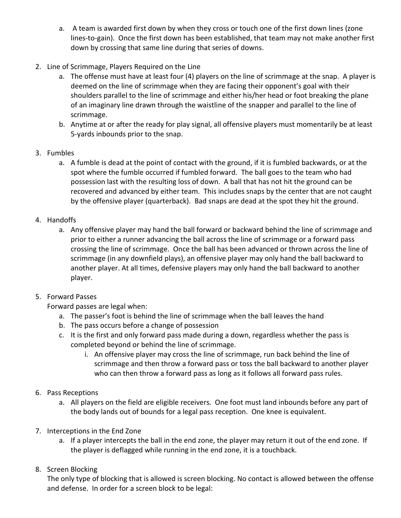- a. A team is awarded first down by when they cross or touch one of the first down lines (zone lines-to-gain). Once the first down has been established, that team may not make another first down by crossing that same line during that series of downs.
- 2. Line of Scrimmage, Players Required on the Line
	- a. The offense must have at least four (4) players on the line of scrimmage at the snap. A player is deemed on the line of scrimmage when they are facing their opponent's goal with their shoulders parallel to the line of scrimmage and either his/her head or foot breaking the plane of an imaginary line drawn through the waistline of the snapper and parallel to the line of scrimmage.
	- b. Anytime at or after the ready for play signal, all offensive players must momentarily be at least 5-yards inbounds prior to the snap.
- 3. Fumbles
	- a. A fumble is dead at the point of contact with the ground, if it is fumbled backwards, or at the spot where the fumble occurred if fumbled forward. The ball goes to the team who had possession last with the resulting loss of down. A ball that has not hit the ground can be recovered and advanced by either team. This includes snaps by the center that are not caught by the offensive player (quarterback). Bad snaps are dead at the spot they hit the ground.
- 4. Handoffs
	- a. Any offensive player may hand the ball forward or backward behind the line of scrimmage and prior to either a runner advancing the ball across the line of scrimmage or a forward pass crossing the line of scrimmage. Once the ball has been advanced or thrown across the line of scrimmage (in any downfield plays), an offensive player may only hand the ball backward to another player. At all times, defensive players may only hand the ball backward to another player.
- 5. Forward Passes

Forward passes are legal when:

- a. The passer's foot is behind the line of scrimmage when the ball leaves the hand
- b. The pass occurs before a change of possession
- c. It is the first and only forward pass made during a down, regardless whether the pass is completed beyond or behind the line of scrimmage.
	- i. An offensive player may cross the line of scrimmage, run back behind the line of scrimmage and then throw a forward pass or toss the ball backward to another player who can then throw a forward pass as long as it follows all forward pass rules.
- 6. Pass Receptions
	- a. All players on the field are eligible receivers. One foot must land inbounds before any part of the body lands out of bounds for a legal pass reception. One knee is equivalent.
- 7. Interceptions in the End Zone
	- a. If a player intercepts the ball in the end zone, the player may return it out of the end zone. If the player is deflagged while running in the end zone, it is a touchback.
- 8. Screen Blocking

The only type of blocking that is allowed is screen blocking. No contact is allowed between the offense and defense. In order for a screen block to be legal: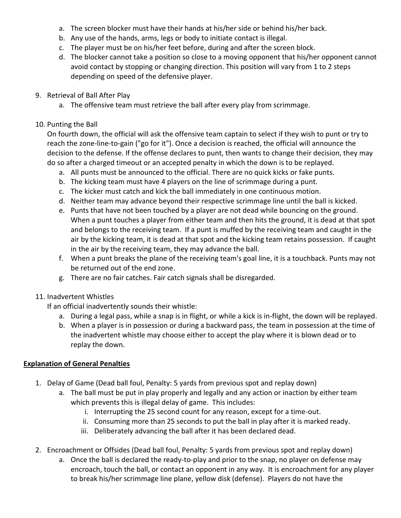- a. The screen blocker must have their hands at his/her side or behind his/her back.
- b. Any use of the hands, arms, legs or body to initiate contact is illegal.
- c. The player must be on his/her feet before, during and after the screen block.
- d. The blocker cannot take a position so close to a moving opponent that his/her opponent cannot avoid contact by stopping or changing direction. This position will vary from 1 to 2 steps depending on speed of the defensive player.
- 9. Retrieval of Ball After Play
	- a. The offensive team must retrieve the ball after every play from scrimmage.

### 10. Punting the Ball

On fourth down, the official will ask the offensive team captain to select if they wish to punt or try to reach the zone-line-to-gain ("go for it"). Once a decision is reached, the official will announce the decision to the defense. If the offense declares to punt, then wants to change their decision, they may do so after a charged timeout or an accepted penalty in which the down is to be replayed.

- a. All punts must be announced to the official. There are no quick kicks or fake punts.
- b. The kicking team must have 4 players on the line of scrimmage during a punt.
- c. The kicker must catch and kick the ball immediately in one continuous motion.
- d. Neither team may advance beyond their respective scrimmage line until the ball is kicked.
- e. Punts that have not been touched by a player are not dead while bouncing on the ground. When a punt touches a player from either team and then hits the ground, it is dead at that spot and belongs to the receiving team. If a punt is muffed by the receiving team and caught in the air by the kicking team, it is dead at that spot and the kicking team retains possession. If caught in the air by the receiving team, they may advance the ball.
- f. When a punt breaks the plane of the receiving team's goal line, it is a touchback. Punts may not be returned out of the end zone.
- g. There are no fair catches. Fair catch signals shall be disregarded.

## 11. Inadvertent Whistles

If an official inadvertently sounds their whistle:

- a. During a legal pass, while a snap is in flight, or while a kick is in-flight, the down will be replayed.
- b. When a player is in possession or during a backward pass, the team in possession at the time of the inadvertent whistle may choose either to accept the play where it is blown dead or to replay the down.

## **Explanation of General Penalties**

- 1. Delay of Game (Dead ball foul, Penalty: 5 yards from previous spot and replay down)
	- a. The ball must be put in play properly and legally and any action or inaction by either team which prevents this is illegal delay of game. This includes:
		- i. Interrupting the 25 second count for any reason, except for a time-out.
		- ii. Consuming more than 25 seconds to put the ball in play after it is marked ready.
		- iii. Deliberately advancing the ball after it has been declared dead.
- 2. Encroachment or Offsides (Dead ball foul, Penalty: 5 yards from previous spot and replay down)
	- a. Once the ball is declared the ready-to-play and prior to the snap, no player on defense may encroach, touch the ball, or contact an opponent in any way. It is encroachment for any player to break his/her scrimmage line plane, yellow disk (defense). Players do not have the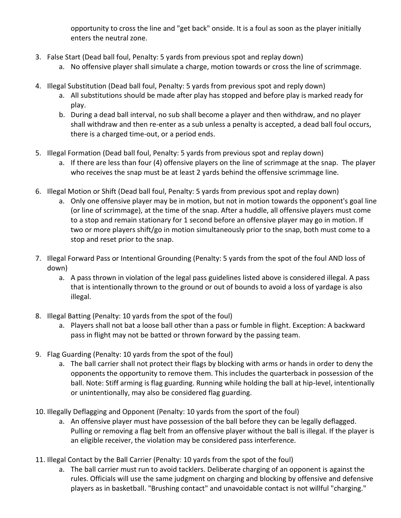opportunity to cross the line and "get back" onside. It is a foul as soon as the player initially enters the neutral zone.

- 3. False Start (Dead ball foul, Penalty: 5 yards from previous spot and replay down)
	- a. No offensive player shall simulate a charge, motion towards or cross the line of scrimmage.
- 4. Illegal Substitution (Dead ball foul, Penalty: 5 yards from previous spot and reply down)
	- a. All substitutions should be made after play has stopped and before play is marked ready for play.
	- b. During a dead ball interval, no sub shall become a player and then withdraw, and no player shall withdraw and then re-enter as a sub unless a penalty is accepted, a dead ball foul occurs, there is a charged time-out, or a period ends.
- 5. Illegal Formation (Dead ball foul, Penalty: 5 yards from previous spot and replay down)
	- a. If there are less than four (4) offensive players on the line of scrimmage at the snap. The player who receives the snap must be at least 2 yards behind the offensive scrimmage line.
- 6. Illegal Motion or Shift (Dead ball foul, Penalty: 5 yards from previous spot and replay down)
	- a. Only one offensive player may be in motion, but not in motion towards the opponent's goal line (or line of scrimmage), at the time of the snap. After a huddle, all offensive players must come to a stop and remain stationary for 1 second before an offensive player may go in motion. If two or more players shift/go in motion simultaneously prior to the snap, both must come to a stop and reset prior to the snap.
- 7. Illegal Forward Pass or Intentional Grounding (Penalty: 5 yards from the spot of the foul AND loss of down)
	- a. A pass thrown in violation of the legal pass guidelines listed above is considered illegal. A pass that is intentionally thrown to the ground or out of bounds to avoid a loss of yardage is also illegal.
- 8. Illegal Batting (Penalty: 10 yards from the spot of the foul)
	- a. Players shall not bat a loose ball other than a pass or fumble in flight. Exception: A backward pass in flight may not be batted or thrown forward by the passing team.
- 9. Flag Guarding (Penalty: 10 yards from the spot of the foul)
	- a. The ball carrier shall not protect their flags by blocking with arms or hands in order to deny the opponents the opportunity to remove them. This includes the quarterback in possession of the ball. Note: Stiff arming is flag guarding. Running while holding the ball at hip-level, intentionally or unintentionally, may also be considered flag guarding.
- 10. Illegally Deflagging and Opponent (Penalty: 10 yards from the sport of the foul)
	- a. An offensive player must have possession of the ball before they can be legally deflagged. Pulling or removing a flag belt from an offensive player without the ball is illegal. If the player is an eligible receiver, the violation may be considered pass interference.
- 11. Illegal Contact by the Ball Carrier (Penalty: 10 yards from the spot of the foul)
	- a. The ball carrier must run to avoid tacklers. Deliberate charging of an opponent is against the rules. Officials will use the same judgment on charging and blocking by offensive and defensive players as in basketball. "Brushing contact" and unavoidable contact is not willful "charging."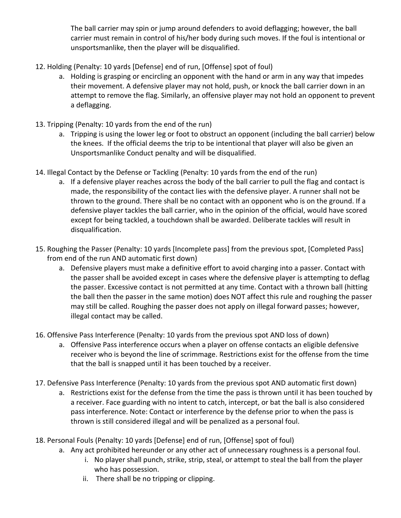The ball carrier may spin or jump around defenders to avoid deflagging; however, the ball carrier must remain in control of his/her body during such moves. If the foul is intentional or unsportsmanlike, then the player will be disqualified.

- 12. Holding (Penalty: 10 yards [Defense] end of run, [Offense] spot of foul)
	- a. Holding is grasping or encircling an opponent with the hand or arm in any way that impedes their movement. A defensive player may not hold, push, or knock the ball carrier down in an attempt to remove the flag. Similarly, an offensive player may not hold an opponent to prevent a deflagging.
- 13. Tripping (Penalty: 10 yards from the end of the run)
	- a. Tripping is using the lower leg or foot to obstruct an opponent (including the ball carrier) below the knees. If the official deems the trip to be intentional that player will also be given an Unsportsmanlike Conduct penalty and will be disqualified.
- 14. Illegal Contact by the Defense or Tackling (Penalty: 10 yards from the end of the run)
	- a. If a defensive player reaches across the body of the ball carrier to pull the flag and contact is made, the responsibility of the contact lies with the defensive player. A runner shall not be thrown to the ground. There shall be no contact with an opponent who is on the ground. If a defensive player tackles the ball carrier, who in the opinion of the official, would have scored except for being tackled, a touchdown shall be awarded. Deliberate tackles will result in disqualification.
- 15. Roughing the Passer (Penalty: 10 yards [Incomplete pass] from the previous spot, [Completed Pass] from end of the run AND automatic first down)
	- a. Defensive players must make a definitive effort to avoid charging into a passer. Contact with the passer shall be avoided except in cases where the defensive player is attempting to deflag the passer. Excessive contact is not permitted at any time. Contact with a thrown ball (hitting the ball then the passer in the same motion) does NOT affect this rule and roughing the passer may still be called. Roughing the passer does not apply on illegal forward passes; however, illegal contact may be called.
- 16. Offensive Pass Interference (Penalty: 10 yards from the previous spot AND loss of down)
	- a. Offensive Pass interference occurs when a player on offense contacts an eligible defensive receiver who is beyond the line of scrimmage. Restrictions exist for the offense from the time that the ball is snapped until it has been touched by a receiver.
- 17. Defensive Pass Interference (Penalty: 10 yards from the previous spot AND automatic first down)
	- a. Restrictions exist for the defense from the time the pass is thrown until it has been touched by a receiver. Face guarding with no intent to catch, intercept, or bat the ball is also considered pass interference. Note: Contact or interference by the defense prior to when the pass is thrown is still considered illegal and will be penalized as a personal foul.
- 18. Personal Fouls (Penalty: 10 yards [Defense] end of run, [Offense] spot of foul)
	- a. Any act prohibited hereunder or any other act of unnecessary roughness is a personal foul.
		- i. No player shall punch, strike, strip, steal, or attempt to steal the ball from the player who has possession.
		- ii. There shall be no tripping or clipping.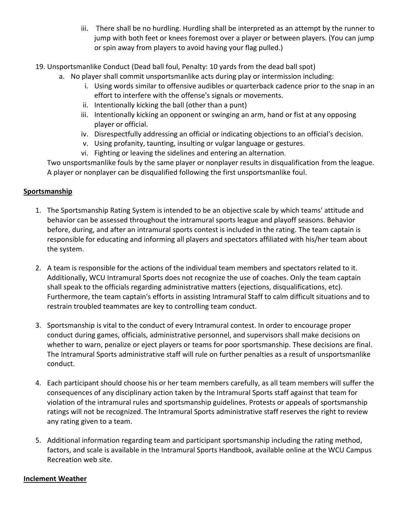- iii. There shall be no hurdling. Hurdling shall be interpreted as an attempt by the runner to jump with both feet or knees foremost over a player or between players. (You can jump or spin away from players to avoid having your flag pulled.)
- 19. Unsportsmanlike Conduct (Dead ball foul, Penalty: 10 yards from the dead ball spot)
	- a. No player shall commit unsportsmanlike acts during play or intermission including:
		- i. Using words similar to offensive audibles or quarterback cadence prior to the snap in an effort to interfere with the offense's signals or movements.
		- ii. Intentionally kicking the ball (other than a punt)
		- iii. Intentionally kicking an opponent or swinging an arm, hand or fist at any opposing player or official.
		- iv. Disrespectfully addressing an official or indicating objections to an official's decision.
		- v. Using profanity, taunting, insulting or vulgar language or gestures.
		- vi. Fighting or leaving the sidelines and entering an alternation.

Two unsportsmanlike fouls by the same player or nonplayer results in disqualification from the league. A player or nonplayer can be disqualified following the first unsportsmanlike foul.

#### **Sportsmanship**

- 1. The Sportsmanship Rating System is intended to be an objective scale by which teams' attitude and behavior can be assessed throughout the intramural sports league and playoff seasons. Behavior before, during, and after an intramural sports contest is included in the rating. The team captain is responsible for educating and informing all players and spectators affiliated with his/her team about the system.
- 2. A team is responsible for the actions of the individual team members and spectators related to it. Additionally, WCU Intramural Sports does not recognize the use of coaches. Only the team captain shall speak to the officials regarding administrative matters (ejections, disqualifications, etc). Furthermore, the team captain's efforts in assisting Intramural Staff to calm difficult situations and to restrain troubled teammates are key to controlling team conduct.
- 3. Sportsmanship is vital to the conduct of every Intramural contest. In order to encourage proper conduct during games, officials, administrative personnel, and supervisors shall make decisions on whether to warn, penalize or eject players or teams for poor sportsmanship. These decisions are final. The Intramural Sports administrative staff will rule on further penalties as a result of unsportsmanlike conduct.
- 4. Each participant should choose his or her team members carefully, as all team members will suffer the consequences of any disciplinary action taken by the Intramural Sports staff against that team for violation of the intramural rules and sportsmanship guidelines. Protests or appeals of sportsmanship ratings will not be recognized. The Intramural Sports administrative staff reserves the right to review any rating given to a team.
- 5. Additional information regarding team and participant sportsmanship including the rating method, factors, and scale is available in the Intramural Sports Handbook, available online at the WCU Campus Recreation web site.

#### **Inclement Weather**